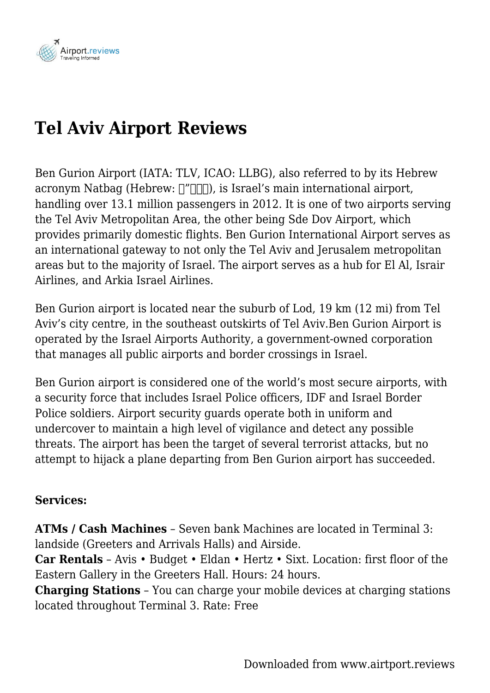

# **Tel Aviv Airport Reviews**

Ben Gurion Airport (IATA: TLV, ICAO: LLBG), also referred to by its Hebrew acronym Natbag (Hebrew:  $\lceil \frac{n}{n} \rceil$ ), is Israel's main international airport, handling over 13.1 million passengers in 2012. It is one of two airports serving the Tel Aviv Metropolitan Area, the other being Sde Dov Airport, which provides primarily domestic flights. Ben Gurion International Airport serves as an international gateway to not only the Tel Aviv and Jerusalem metropolitan areas but to the majority of Israel. The airport serves as a hub for El Al, Israir Airlines, and Arkia Israel Airlines.

Ben Gurion airport is located near the suburb of Lod, 19 km (12 mi) from Tel Aviv's city centre, in the southeast outskirts of Tel Aviv.Ben Gurion Airport is operated by the Israel Airports Authority, a government-owned corporation that manages all public airports and border crossings in Israel.

Ben Gurion airport is considered one of the world's most secure airports, with a security force that includes Israel Police officers, IDF and Israel Border Police soldiers. Airport security guards operate both in uniform and undercover to maintain a high level of vigilance and detect any possible threats. The airport has been the target of several terrorist attacks, but no attempt to hijack a plane departing from Ben Gurion airport has succeeded.

#### **Services:**

**ATMs / Cash Machines** – Seven bank Machines are located in Terminal 3: landside (Greeters and Arrivals Halls) and Airside.

**Car Rentals** – Avis • Budget • Eldan • Hertz • Sixt. Location: first floor of the Eastern Gallery in the Greeters Hall. Hours: 24 hours.

**Charging Stations** – You can charge your mobile devices at charging stations located throughout Terminal 3. Rate: Free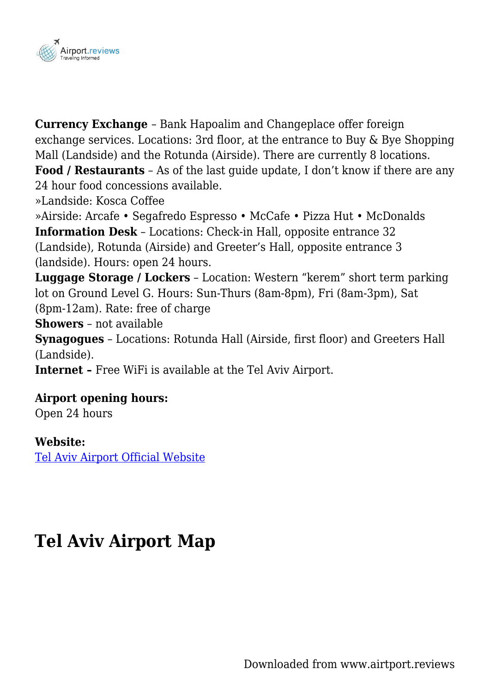

**Currency Exchange** – Bank Hapoalim and Changeplace offer foreign exchange services. Locations: 3rd floor, at the entrance to Buy & Bye Shopping Mall (Landside) and the Rotunda (Airside). There are currently 8 locations.

**Food / Restaurants** – As of the last guide update, I don't know if there are any 24 hour food concessions available.

»Landside: Kosca Coffee

»Airside: Arcafe • Segafredo Espresso • McCafe • Pizza Hut • McDonalds **Information Desk** – Locations: Check-in Hall, opposite entrance 32 (Landside), Rotunda (Airside) and Greeter's Hall, opposite entrance 3 (landside). Hours: open 24 hours.

**Luggage Storage / Lockers** – Location: Western "kerem" short term parking lot on Ground Level G. Hours: Sun-Thurs (8am-8pm), Fri (8am-3pm), Sat (8pm-12am). Rate: free of charge

**Showers** – not available

**Synagogues** – Locations: Rotunda Hall (Airside, first floor) and Greeters Hall (Landside).

**Internet –** Free WiFi is available at the Tel Aviv Airport.

### **Airport opening hours:**

Open 24 hours

#### **Website:**

[Tel Aviv Airport Official Website](http://www.iaa.gov.il/Rashat/en-US/Airports/BenGurion/)

### **Tel Aviv Airport Map**